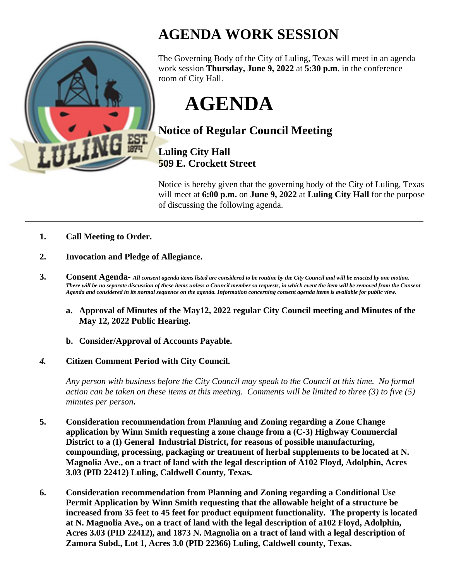

## **AGENDA WORK SESSION**

The Governing Body of the City of Luling, Texas will meet in an agenda work session **Thursday, June 9, 2022** at **5:30 p.m**. in the conference room of City Hall.

**AGENDA**

## **Notice of Regular Council Meeting**

**Luling City Hall 509 E. Crockett Street**

Notice is hereby given that the governing body of the City of Luling, Texas will meet at **6:00 p.m.** on **June 9, 2022** at **Luling City Hall** for the purpose of discussing the following agenda.

- **1. Call Meeting to Order.**
- **2. Invocation and Pledge of Allegiance.**
- **3. Consent Agenda-** *All consent agenda items listed are considered to be routine by the City Council and will be enacted by one motion. There will be no separate discussion of these items unless a Council member so requests, in which event the item will be removed from the Consent Agenda and considered in its normal sequence on the agenda. Information concerning consent agenda items is available for public view.*
	- **a. Approval of Minutes of the May12, 2022 regular City Council meeting and Minutes of the May 12, 2022 Public Hearing.**
	- **b. Consider/Approval of Accounts Payable.**
- *4.* **Citizen Comment Period with City Council.**

*Any person with business before the City Council may speak to the Council at this time. No formal action can be taken on these items at this meeting. Comments will be limited to three (3) to five (5) minutes per person***.**

- **5. Consideration recommendation from Planning and Zoning regarding a Zone Change application by Winn Smith requesting a zone change from a (C-3) Highway Commercial District to a (I) General Industrial District, for reasons of possible manufacturing, compounding, processing, packaging or treatment of herbal supplements to be located at N. Magnolia Ave., on a tract of land with the legal description of A102 Floyd, Adolphin, Acres 3.03 (PID 22412) Luling, Caldwell County, Texas.**
- **6. Consideration recommendation from Planning and Zoning regarding a Conditional Use Permit Application by Winn Smith requesting that the allowable height of a structure be increased from 35 feet to 45 feet for product equipment functionality. The property is located at N. Magnolia Ave., on a tract of land with the legal description of a102 Floyd, Adolphin, Acres 3.03 (PID 22412), and 1873 N. Magnolia on a tract of land with a legal description of Zamora Subd., Lot 1, Acres 3.0 (PID 22366) Luling, Caldwell county, Texas.**